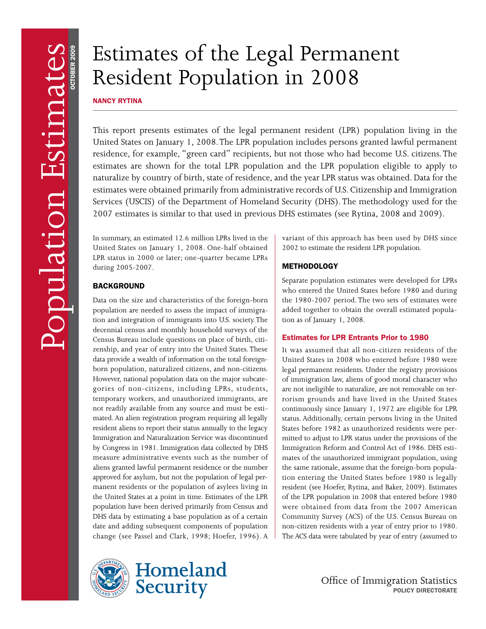# Estimates of the Legal Permanent Resident Population in 2008

NANCY RYTINA

This report presents estimates of the legal permanent resident (LPR) population living in the United States on January 1, 2008. The LPR population includes persons granted lawful permanent residence, for example, "green card" recipients, but not those who had become U.S. citizens. The estimates are shown for the total LPR population and the LPR population eligible to apply to naturalize by country of birth, state of residence, and the year LPR status was obtained. Data for the estimates were obtained primarily from administrative records of U.S. Citizenship and Immigration Services (USCIS) of the Department of Homeland Security (DHS). The methodology used for the 2007 estimates is similar to that used in previous DHS estimates (see Rytina, 2008 and 2009).

In summary, an estimated 12.6 million LPRs lived in the United States on January 1, 2008. One-half obtained LPR status in 2000 or later; one-quarter became LPRs during 2005-2007.

## **BACKGROUND**

- population are needed to assess the impact of immigra Census Bureau include questions on place of birth, citi-However, national population data on the major subcatenot readily available from any source and must be esti-- approved for asylum, but not the population of legal per Data on the size and characteristics of the foreign-born tion and integration of immigrants into U.S. society. The decennial census and monthly household surveys of the zenship, and year of entry into the United States. These data provide a wealth of information on the total foreignborn population, naturalized citizens, and non-citizens. gories of non-citizens, including LPRs, students, temporary workers, and unauthorized immigrants, are mated. An alien registration program requiring all legally resident aliens to report their status annually to the legacy Immigration and Naturalization Service was discontinued by Congress in 1981. Immigration data collected by DHS measure administrative events such as the number of aliens granted lawful permanent residence or the number manent residents or the population of asylees living in the United States at a point in time. Estimates of the LPR population have been derived primarily from Census and DHS data by estimating a base population as of a certain date and adding subsequent components of population change (see Passel and Clark, 1998; Hoefer, 1996). A





variant of this approach has been used by DHS since 2002 to estimate the resident LPR population.

# **METHODOLOGY**

- added together to obtain the overall estimated popula Separate population estimates were developed for LPRs who entered the United States before 1980 and during the 1980-2007 period. The two sets of estimates were tion as of January 1, 2008.

## Estimates for LPR Entrants Prior to 1980

are not ineligible to naturalize, are not removable on ter-States before 1982 as unauthorized residents were per-Immigration Reform and Control Act of 1986. DHS esti-- the same rationale, assume that the foreign-born popula It was assumed that all non-citizen residents of the United States in 2008 who entered before 1980 were legal permanent residents. Under the registry provisions of immigration law, aliens of good moral character who rorism grounds and have lived in the United States continuously since January 1, 1972 are eligible for LPR status. Additionally, certain persons living in the United mitted to adjust to LPR status under the provisions of the mates of the unauthorized immigrant population, using tion entering the United States before 1980 is legally resident (see Hoefer, Rytina, and Baker, 2009). Estimates of the LPR population in 2008 that entered before 1980 were obtained from data from the 2007 American Community Survey (ACS) of the U.S. Census Bureau on non-citizen residents with a year of entry prior to 1980. The ACS data were tabulated by year of entry (assumed to

> Office of Immigration Statistics POLICY DIRECTORATE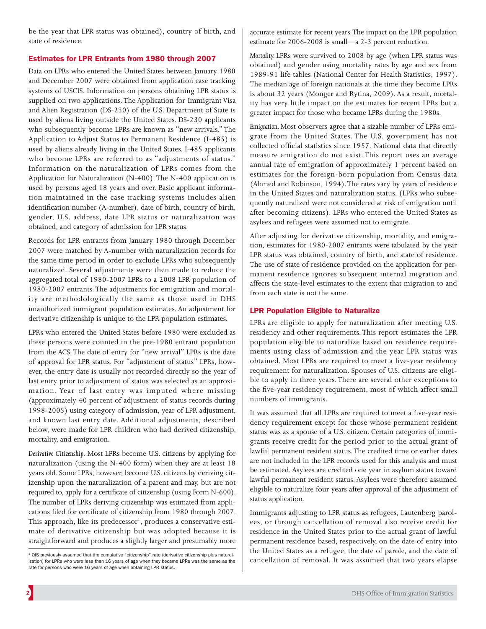be the year that LPR status was obtained), country of birth, and state of residence.

## Estimates for LPR Entrants from 1980 through 2007

used by persons aged 18 years and over. Basic applicant informa-Data on LPRs who entered the United States between January 1980 and December 2007 were obtained from application case tracking systems of USCIS. Information on persons obtaining LPR status is supplied on two applications. The Application for Immigrant Visa and Alien Registration (DS-230) of the U.S. Department of State is used by aliens living outside the United States. DS-230 applicants who subsequently become LPRs are known as "new arrivals." The Application to Adjust Status to Permanent Residence (I-485) is used by aliens already living in the United States. I-485 applicants who become LPRs are referred to as "adjustments of status." Information on the naturalization of LPRs comes from the Application for Naturalization (N-400). The N-400 application is tion maintained in the case tracking systems includes alien identification number (A-number), date of birth, country of birth, gender, U.S. address, date LPR status or naturalization was obtained, and category of admission for LPR status.

1980-2007 entrants. The adjustments for emigration and mortal-Records for LPR entrants from January 1980 through December 2007 were matched by A-number with naturalization records for the same time period in order to exclude LPRs who subsequently naturalized. Several adjustments were then made to reduce the aggregated total of 1980-2007 LPRs to a 2008 LPR population of ity are methodologically the same as those used in DHS unauthorized immigrant population estimates. An adjustment for derivative citizenship is unique to the LPR population estimates.

- of approval for LPR status. For "adjustment of status" LPRs, how last entry prior to adjustment of status was selected as an approxi-LPRs who entered the United States before 1980 were excluded as these persons were counted in the pre-1980 entrant population from the ACS. The date of entry for "new arrival" LPRs is the date ever, the entry date is usually not recorded directly so the year of mation. Year of last entry was imputed where missing (approximately 40 percent of adjustment of status records during 1998-2005) using category of admission, year of LPR adjustment, and known last entry date. Additional adjustments, described below, were made for LPR children who had derived citizenship, mortality, and emigration.

- years old. Some LPRs, however, become U.S. citizens by deriving cit - The number of LPRs deriving citizenship was estimated from appli This approach, like its predecessor<sup>1</sup>, produces a conservative esti-*Derivative Citizenship*. Most LPRs become U.S. citizens by applying for naturalization (using the N-400 form) when they are at least 18 izenship upon the naturalization of a parent and may, but are not required to, apply for a certificate of citizenship (using Form N-600). cations filed for certificate of citizenship from 1980 through 2007. mate of derivative citizenship but was adopted because it is straightforward and produces a slightly larger and presumably more

accurate estimate for recent years. The impact on the LPR population estimate for 2006-2008 is small—a 2-3 percent reduction.

is about 32 years (Monger and Rytina, 2009). As a result, mortal-*Mortality.* LPRs were survived to 2008 by age (when LPR status was obtained) and gender using mortality rates by age and sex from 1989-91 life tables (National Center for Health Statistics, 1997). The median age of foreign nationals at the time they become LPRs ity has very little impact on the estimates for recent LPRs but a greater impact for those who became LPRs during the 1980s.

- *Emigration.* Most observers agree that a sizable number of LPRs emi - in the United States and naturalization status. (LPRs who subse grate from the United States. The U.S. government has not collected official statistics since 1957. National data that directly measure emigration do not exist. This report uses an average annual rate of emigration of approximately 1 percent based on estimates for the foreign-born population from Census data (Ahmed and Robinson, 1994). The rates vary by years of residence quently naturalized were not considered at risk of emigration until after becoming citizens). LPRs who entered the United States as asylees and refugees were assumed not to emigrate.

- After adjusting for derivative citizenship, mortality, and emigra The use of state of residence provided on the application for pertion, estimates for 1980-2007 entrants were tabulated by the year LPR status was obtained, country of birth, and state of residence. manent residence ignores subsequent internal migration and affects the state-level estimates to the extent that migration to and from each state is not the same.

## LPR Population Eligible to Naturalize

- population eligible to naturalize based on residence require - requirement for naturalization. Spouses of U.S. citizens are eligi LPRs are eligible to apply for naturalization after meeting U.S. residency and other requirements. This report estimates the LPR ments using class of admission and the year LPR status was obtained. Most LPRs are required to meet a five-year residency ble to apply in three years. There are several other exceptions to the five-year residency requirement, most of which affect small numbers of immigrants.

It was assumed that all LPRs are required to meet a five-year resi-- status was as a spouse of a U.S. citizen. Certain categories of immi dency requirement except for those whose permanent resident grants receive credit for the period prior to the actual grant of lawful permanent resident status. The credited time or earlier dates are not included in the LPR records used for this analysis and must be estimated. Asylees are credited one year in asylum status toward lawful permanent resident status. Asylees were therefore assumed eligible to naturalize four years after approval of the adjustment of status application.

- Immigrants adjusting to LPR status as refugees, Lautenberg parol ees, or through cancellation of removal also receive credit for residence in the United States prior to the actual grant of lawful permanent residence based, respectively, on the date of entry into the United States as a refugee, the date of parole, and the date of cancellation of removal. It was assumed that two years elapse

<sup>&</sup>lt;sup>1</sup> OIS previously assumed that the cumulative "citizenship" rate (derivative citizenship plus naturalization) for LPRs who were less than 16 years of age when they became LPRs was the same as the rate for persons who were 16 years of age when obtaining LPR status.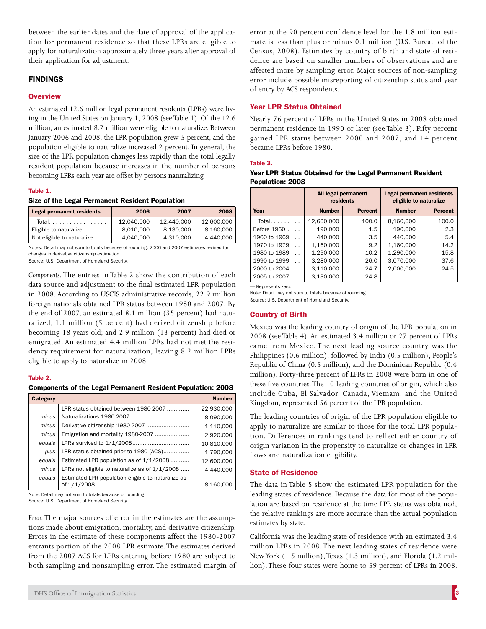between the earlier dates and the date of approval of the application for permanent residence so that these LPRs are eligible to apply for naturalization approximately three years after approval of their application for adjustment.

## FINDINGS

## **Overview**

An estimated 12.6 million legal permanent residents (LPRs) were living in the United States on January 1, 2008 (see Table 1). Of the 12.6 million, an estimated 8.2 million were eligible to naturalize. Between January 2006 and 2008, the LPR population grew 5 percent, and the population eligible to naturalize increased 2 percent. In general, the size of the LPR population changes less rapidly than the total legally resident population because increases in the number of persons becoming LPRs each year are offset by persons naturalizing.

#### Table 1.

#### Size of the Legal Permanent Resident Population

| <b>Legal permanent residents</b> | 2006       | 2007       | 2008       |
|----------------------------------|------------|------------|------------|
| Total.                           | 12.040.000 | 12.440.000 | 12.600.000 |
| Eligible to naturalize           | 8.010.000  | 8.130.000  | 8.160.000  |
| Not eligible to naturalize       | 4,040,000  | 4,310,000  | 4.440.000  |

Notes: Detail may not sum to totals because of rounding. 2006 and 2007 estimates revised for changes in derivative citizenship estimation.

Source: U.S. Department of Homeland Security.

- the end of 2007, an estimated 8.1 million (35 percent) had natu emigrated. An estimated 4.4 million LPRs had not met the resi-*Components.* The entries in Table 2 show the contribution of each data source and adjustment to the final estimated LPR population in 2008. According to USCIS administrative records, 22.9 million foreign nationals obtained LPR status between 1980 and 2007. By ralized; 1.1 million (5 percent) had derived citizenship before becoming 18 years old; and 2.9 million (13 percent) had died or dency requirement for naturalization, leaving 8.2 million LPRs eligible to apply to naturalize in 2008.

#### Table 2.

#### Components of the Legal Permanent Resident Population: 2008

| <b>Category</b> |                                                                     | <b>Number</b> |
|-----------------|---------------------------------------------------------------------|---------------|
|                 | LPR status obtained between 1980-2007                               | 22,930,000    |
| minus           |                                                                     | 8,090,000     |
| minus           |                                                                     | 1,110,000     |
| minus           | Emigration and mortality 1980-2007                                  | 2,920,000     |
| equals          |                                                                     | 10,810,000    |
| plus            | LPR status obtained prior to 1980 (ACS)                             | 1,790,000     |
| equals          | Estimated LPR population as of 1/1/2008                             | 12,600,000    |
| minus           | LPRs not eligible to naturalize as of $1/1/2008$                    | 4.440.000     |
| equals          | Estimated LPR population eligible to naturalize as<br>of $1/1/2008$ | 8,160,000     |

Note: Detail may not sum to totals because of rounding.

Source: U.S. Department of Homeland Security.

- *Error.* The major sources of error in the estimates are the assump tions made about emigration, mortality, and derivative citizenship. Errors in the estimate of these components affect the 1980-2007 entrants portion of the 2008 LPR estimate. The estimates derived from the 2007 ACS for LPRs entering before 1980 are subject to both sampling and nonsampling error. The estimated margin of

error at the 90 percent confidence level for the 1.8 million esti-Census, 2008). Estimates by country of birth and state of resimate is less than plus or minus 0.1 million (U.S. Bureau of the dence are based on smaller numbers of observations and are affected more by sampling error. Major sources of non-sampling error include possible misreporting of citizenship status and year of entry by ACS respondents.

## Year LPR Status Obtained

Nearly 76 percent of LPRs in the United States in 2008 obtained permanent residence in 1990 or later (see Table 3). Fifty percent gained LPR status between 2000 and 2007, and 14 percent became LPRs before 1980.

#### Table 3.

#### Year LPR Status Obtained for the Legal Permanent Resident Population: 2008

|                  | All legal permanent<br>residents |                | <b>Legal permanent residents</b><br>eligible to naturalize |                |
|------------------|----------------------------------|----------------|------------------------------------------------------------|----------------|
| Year             | <b>Number</b>                    | <b>Percent</b> | <b>Number</b>                                              | <b>Percent</b> |
| Total. $\ldots$  | 12.600.000                       | 100.0          | 8.160.000                                                  | 100.0          |
| Before 1960      | 190,000                          | 1.5            | 190,000                                                    | 2.3            |
| 1960 to $1969$   | 440.000                          | 3.5            | 440.000                                                    | 5.4            |
| 1970 to $1979$   | 1,160,000                        | 9.2            | 1,160,000                                                  | 14.2           |
| 1980 to 1989     | 1,290,000                        | 10.2           | 1,290,000                                                  | 15.8           |
| 1990 to $1999$   | 3,280,000                        | 26.0           | 3.070.000                                                  | 37.6           |
| $2000$ to $2004$ | 3,110,000                        | 24.7           | 2.000.000                                                  | 24.5           |
| $2005$ to $2007$ | 3.130.000                        | 24.8           |                                                            |                |

— Represents zero.

Note: Detail may not sum to totals because of rounding.

Source: U.S. Department of Homeland Security.

## Country of Birth

Mexico was the leading country of origin of the LPR population in 2008 (see Table 4). An estimated 3.4 million or 27 percent of LPRs came from Mexico. The next leading source country was the Philippines (0.6 million), followed by India (0.5 million), People's Republic of China (0.5 million), and the Dominican Republic (0.4 million). Forty-three percent of LPRs in 2008 were born in one of these five countries. The 10 leading countries of origin, which also include Cuba, El Salvador, Canada, Vietnam, and the United Kingdom, represented 56 percent of the LPR population.

- apply to naturalize are similar to those for the total LPR popula The leading countries of origin of the LPR population eligible to tion. Differences in rankings tend to reflect either country of origin variation in the propensity to naturalize or changes in LPR flows and naturalization eligibility.

#### State of Residence

- leading states of residence. Because the data for most of the popu The data in Table 5 show the estimated LPR population for the lation are based on residence at the time LPR status was obtained, the relative rankings are more accurate than the actual population estimates by state.

- New York (1.5 million), Texas (1.3 million), and Florida (1.2 mil California was the leading state of residence with an estimated 3.4 million LPRs in 2008. The next leading states of residence were lion). These four states were home to 59 percent of LPRs in 2008.